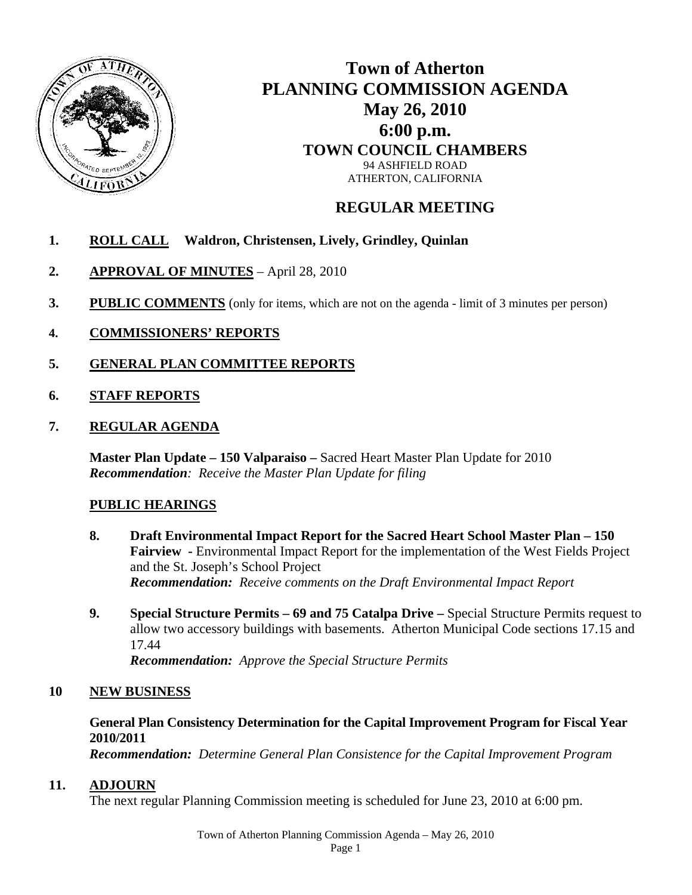

# **Town of Atherton PLANNING COMMISSION AGENDA May 26, 2010 6:00 p.m. TOWN COUNCIL CHAMBERS**  94 ASHFIELD ROAD ATHERTON, CALIFORNIA

## **REGULAR MEETING**

- **1. ROLL CALL Waldron, Christensen, Lively, Grindley, Quinlan**
- **2. APPROVAL OF MINUTES** April 28, 2010
- **3. PUBLIC COMMENTS** (only for items, which are not on the agenda limit of 3 minutes per person)
- **4. COMMISSIONERS' REPORTS**
- **5. GENERAL PLAN COMMITTEE REPORTS**
- **6. STAFF REPORTS**
- **7. REGULAR AGENDA**

**Master Plan Update – 150 Valparaiso –** Sacred Heart Master Plan Update for 2010 *Recommendation: Receive the Master Plan Update for filing* 

### **PUBLIC HEARINGS**

- **8. Draft Environmental Impact Report for the Sacred Heart School Master Plan 150 Fairview -** Environmental Impact Report for the implementation of the West Fields Project and the St. Joseph's School Project *Recommendation: Receive comments on the Draft Environmental Impact Report*
- **9. Special Structure Permits 69 and 75 Catalpa Drive** Special Structure Permits request to allow two accessory buildings with basements. Atherton Municipal Code sections 17.15 and 17.44 *Recommendation: Approve the Special Structure Permits*

### **10 NEW BUSINESS**

### **General Plan Consistency Determination for the Capital Improvement Program for Fiscal Year 2010/2011**

*Recommendation: Determine General Plan Consistence for the Capital Improvement Program* 

### **11. ADJOURN**

The next regular Planning Commission meeting is scheduled for June 23, 2010 at 6:00 pm.